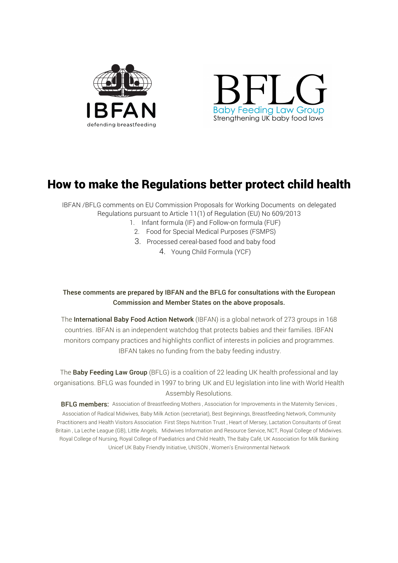



# How to make the Regulations better protect child health

IBFAN /BFLG comments on EU Commission Proposals for Working Documents on delegated Regulations pursuant to Article 11(1) of Regulation (EU) No 609/2013

- 1. Infant formula (IF) and Follow-on formula (FUF)
	- 2. Food for Special Medical Purposes (FSMPS)
	- 3. Processed cereal-based food and baby food
		- 4. Young Child Formula (YCF)

## These comments are prepared by IBFAN and the BFLG for consultations with the European Commission and Member States on the above proposals.

The International Baby Food Action Network (IBFAN) is a global network of 273 groups in 168 countries. IBFAN is an independent watchdog that protects babies and their families. IBFAN monitors company practices and highlights conflict of interests in policies and programmes. IBFAN takes no funding from the baby feeding industry.

The **Baby Feeding Law Group** (BFLG) is a coalition of 22 leading UK health professional and lay organisations. BFLG was founded in 1997 to bring UK and EU legislation into line with World Health Assembly Resolutions.

**BFLG members:** Association of Breastfeeding Mothers , Association for Improvements in the Maternity Services , Association of Radical Midwives, Baby Milk Action (secretariat), Best Beginnings, Breastfeeding Network, Community Practitioners and Health Visitors Association First Steps Nutrition Trust , Heart of Mersey, Lactation Consultants of Great Britain , La Leche League (GB), Little Angels, Midwives Information and Resource Service, NCT, Royal College of Midwives. Royal College of Nursing, Royal College of Paediatrics and Child Health, The Baby Café, UK Association for Milk Banking Unicef UK Baby Friendly Initiative, UNISON , Women's Environmental Network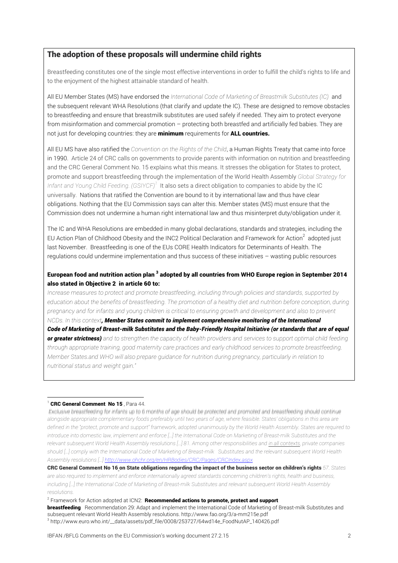### The adoption of these proposals will undermine child rights

Breastfeeding constitutes one of the single most effective interventions in order to fulfill the child's rights to life and to the enjoyment of the highest attainable standard of health.

All EU Member States (MS) have endorsed the *International Code of Marketing of Breastmilk Substitutes (IC)* and the subsequent relevant WHA Resolutions (that clarify and update the IC). These are designed to remove obstacles to breastfeeding and ensure that breastmilk substitutes are used safely if needed. They aim to protect everyone from misinformation and commercial promotion – protecting both breastfed and artificially fed babies. They are not just for developing countries: they are **minimum** requirements for **ALL countries.** 

All EU MS have also ratified the *Convention on the Rights of the Child*, a Human Rights Treaty that came into force in 1990. Article 24 of CRC calls on governments to provide parents with information on nutrition and breastfeeding and the CRC General Comment No. 15 explains what this means. It stresses the obligation for States to protect, promote and support breastfeeding through the implementation of the World Health Assembly *Global Strategy for Infant and Young Child Feeding. (GSIYCF)<sup>1</sup>* It also sets a direct obligation to companies to abide by the IC universally. Nations that ratified the Convention are bound to it by international law and thus have clear obligations. Nothing that the EU Commission says can alter this. Member states (MS) must ensure that the Commission does not undermine a human right international law and thus misinterpret duty/obligation under it.

The IC and WHA Resolutions are embedded in many global declarations, standards and strategies, including the EU Action Plan of Childhood Obesity and the INC2 Political Declaration and Framework for Action<sup>2</sup> adopted just last November. Breastfeeding is one of the EUs CORE Health Indicators for Determinants of Health. The regulations could undermine implementation and thus success of these initiatives – wasting public resources

### European food and nutrition action plan<sup>3</sup> adopted by all countries from WHO Europe region in September 2014 also stated in Objective 2 in article 60 to:

*Increase measures to protect and promote breastfeeding, including through policies and standards, supported by education about the benefits of breastfeeding. The promotion of a healthy diet and nutrition before conception, during pregnancy and for infants and young children is critical to ensuring growth and development and also to prevent NCDs. In this context, Member States commit to implement comprehensive monitoring of the International Code of Marketing of Breast-milk Substitutes and the Baby-Friendly Hospital Initiative (or standards that are of equal or greater strictness) and to strengthen the capacity of health providers and services to support optimal child feeding through appropriate training, good maternity care practices and early childhood services to promote breastfeeding. Member States.and WHO will also prepare guidance for nutrition during pregnancy, particularly in relation to nutritional status and weight gain."*

#### CRC General Comment No 15, Para 44.

Exclusive breastfeeding for infants up to 6 months of age should be protected and promoted and breastfeeding should continue *alongside appropriate complementary foods preferably until two years of age, where feasible. States' obligations in this area are defined in the "protect, promote and support" framework, adopted unanimously by the World Health Assembly. States are required to*  introduce into domestic law, implement and enforce [...] the International Code on Marketing of Breast-milk Substitutes and the *relevant subsequent World Health Assembly resolutions […] 81. Among other responsibilities and in all contexts, private companies should […] comply with the International Code of Marketing of Breast-milk Substitutes and the relevant subsequent World Health Assembly resolutions […] http://www.ohchr.org/en/HRBodies/CRC/Pages/CRCIndex.aspx*

CRC General Comment No 16 on State obligations regarding the impact of the business sector on children's rights *57. States are also required to implement and enforce internationally agreed standards concerning children's rights, health and business, including […] the International Code of Marketing of Breast-milk Substitutes and relevant subsequent World Health Assembly resolutions.*

<sup>2</sup> Framework for Action adopted at ICN2: Recommended actions to promote, protect and support

breastfeeding Recommendation 29: Adapt and implement the International Code of Marketing of Breast-milk Substitutes and subsequent relevant World Health Assembly resolutions. http://www.fao.org/3/a-mm215e.pdf <sup>3</sup> http://www.euro.who.int/\_\_data/assets/pdf\_file/0008/253727/64wd14e\_FoodNutAP\_140426.pdf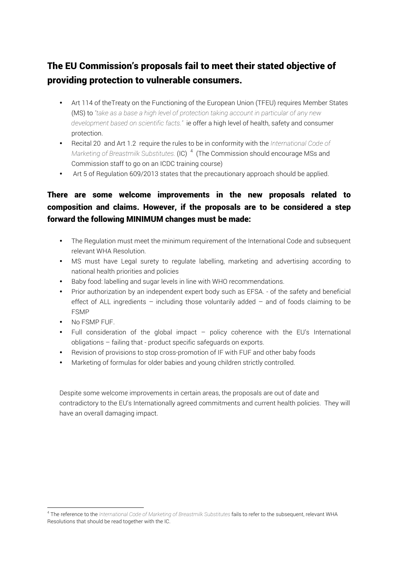# The EU Commission's proposals fail to meet their stated objective of providing protection to vulnerable consumers.

- Art 114 of theTreaty on the Functioning of the European Union (TFEU) requires Member States (MS) to *"take as a base a high level of protection taking account in particular of any new development based on scientific facts."* ie offer a high level of health, safety and consumer protection.
- Recital 20 and Art 1.2 require the rules to be in conformity with the *International Code of*  Marketing of Breastmilk Substitutes. (IC)<sup>4</sup> (The Commission should encourage MSs and Commission staff to go on an ICDC training course)
- Art 5 of Regulation 609/2013 states that the precautionary approach should be applied.

## There are some welcome improvements in the new proposals related to composition and claims. However, if the proposals are to be considered a step forward the following MINIMUM changes must be made:

- The Regulation must meet the minimum requirement of the International Code and subsequent relevant WHA Resolution.
- MS must have Legal surety to regulate labelling, marketing and advertising according to national health priorities and policies
- Baby food: labelling and sugar levels in line with WHO recommendations.
- Prior authorization by an independent expert body such as EFSA. of the safety and beneficial effect of ALL ingredients – including those voluntarily added – and of foods claiming to be FSMP
- No FSMP FUF.

 

- Full consideration of the global impact policy coherence with the EU's International obligations – failing that - product specific safeguards on exports.
- Revision of provisions to stop cross-promotion of IF with FUF and other baby foods
- Marketing of formulas for older babies and young children strictly controlled.

Despite some welcome improvements in certain areas, the proposals are out of date and contradictory to the EU's Internationally agreed commitments and current health policies. They will have an overall damaging impact.

<sup>4</sup> The reference to the *International Code of Marketing of Breastmilk Substitutes* fails to refer to the subsequent, relevant WHA Resolutions that should be read together with the IC.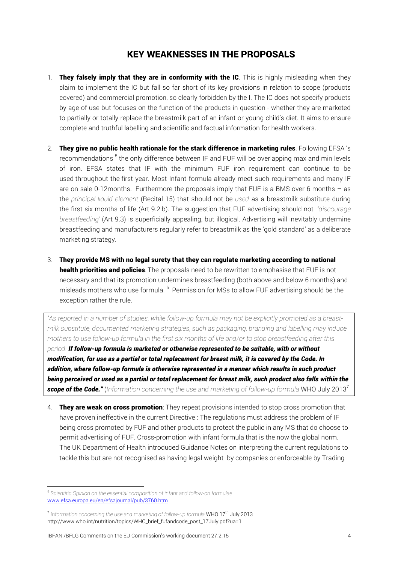## KEY WEAKNESSES IN THE PROPOSALS

- 1. They falsely imply that they are in conformity with the IC. This is highly misleading when they claim to implement the IC but fall so far short of its key provisions in relation to scope (products covered) and commercial promotion, so clearly forbidden by the I. The IC does not specify products by age of use but focuses on the function of the products in question - whether they are marketed to partially or totally replace the breastmilk part of an infant or young child's diet. It aims to ensure complete and truthful labelling and scientific and factual information for health workers.
- 2. They give no public health rationale for the stark difference in marketing rules. Following EFSA 's recommendations<sup>5</sup> the only difference between IF and FUF will be overlapping max and min levels of iron. EFSA states that IF with the minimum FUF iron requirement can continue to be used throughout the first year. Most Infant formula already meet such requirements and many IF are on sale 0-12months. Furthermore the proposals imply that FUF is a BMS over 6 months – as the *principal liquid element* (Recital 15) that should not be *used* as a breastmilk substitute during the first six months of life (Art 9.2.b). The suggestion that FUF advertising should not '*discourage breastfeeding'* (Art 9.3) is superficially appealing, but illogical. Advertising will inevitably undermine breastfeeding and manufacturers regularly refer to breastmilk as the 'gold standard' as a deliberate marketing strategy.
- 3. They provide MS with no legal surety that they can regulate marketing according to national health priorities and policies. The proposals need to be rewritten to emphasise that FUF is not necessary and that its promotion undermines breastfeeding (both above and below 6 months) and misleads mothers who use formula.  $^6$  Permission for MSs to allow FUF advertising should be the exception rather the rule.

*"As reported in a number of studies, while follow-up formula may not be explicitly promoted as a breastmilk substitute, documented marketing strategies, such as packaging, branding and labelling may induce mothers to use follow-up formula in the first six months of life and/or to stop breastfeeding after this period. If follow-up formula is marketed or otherwise represented to be suitable, with or without modification, for use as a partial or total replacement for breast milk, it is covered by the Code. In addition, where follow-up formula is otherwise represented in a manner which results in such product being perceived or used as a partial or total replacement for breast milk, such product also falls within the scope of the Code."* (*Information concerning the use and marketing of follow-up formula* WHO July 2013<sup>7</sup>

4. **They are weak on cross promotion**: They repeat provisions intended to stop cross promotion that have proven ineffective in the current Directive : The regulations must address the problem of IF being cross promoted by FUF and other products to protect the public in any MS that do choose to permit advertising of FUF. Cross-promotion with infant formula that is the now the global norm. The UK Department of Health introduced Guidance Notes on interpreting the current regulations to tackle this but are not recognised as having legal weight by companies or enforceable by Trading

 <sup>5</sup> *Scientific Opinion on the essential composition of infant and follow-on formulae* www.efsa.europa.eu/en/efsajournal/pub/3760.htm

<sup>&</sup>lt;sup>7</sup> Information concerning the use and marketing of follow-up formula WHO 17<sup>th</sup> July 2013 http://www.who.int/nutrition/topics/WHO\_brief\_fufandcode\_post\_17July.pdf?ua=1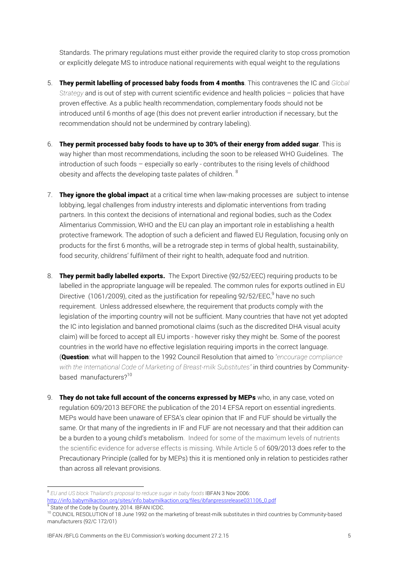Standards. The primary regulations must either provide the required clarity to stop cross promotion or explicitly delegate MS to introduce national requirements with equal weight to the regulations

- 5. They permit labelling of processed baby foods from 4 months. This contravenes the IC and *Global Strategy* and is out of step with current scientific evidence and health policies – policies that have proven effective. As a public health recommendation, complementary foods should not be introduced until 6 months of age (this does not prevent earlier introduction if necessary, but the recommendation should not be undermined by contrary labeling).
- 6. They permit processed baby foods to have up to 30% of their energy from added sugar. This is way higher than most recommendations, including the soon to be released WHO Guidelines. The introduction of such foods – especially so early - contributes to the rising levels of childhood obesity and affects the developing taste palates of children. <sup>8</sup>
- 7. They ignore the global impact at a critical time when law-making processes are subject to intense lobbying, legal challenges from industry interests and diplomatic interventions from trading partners. In this context the decisions of international and regional bodies, such as the Codex Alimentarius Commission, WHO and the EU can play an important role in establishing a health protective framework. The adoption of such a deficient and flawed EU Regulation, focusing only on products for the first 6 months, will be a retrograde step in terms of global health, sustainability, food security, childrens' fulfilment of their right to health, adequate food and nutrition.
- 8. They permit badly labelled exports. The Export Directive (92/52/EEC) requiring products to be labelled in the appropriate language will be repealed. The common rules for exports outlined in EU Directive (1061/2009), cited as the justification for repealing 92/52/EEC,<sup>9</sup> have no such requirement. Unless addressed elsewhere, the requirement that products comply with the legislation of the importing country will not be sufficient. Many countries that have not yet adopted the IC into legislation and banned promotional claims (such as the discredited DHA visual acuity claim) will be forced to accept all EU imports - however risky they might be. Some of the poorest countries in the world have no effective legislation requiring imports in the correct language. (Question: what will happen to the 1992 Council Resolution that aimed to *"encourage compliance with the International Code of Marketing of Breast-milk Substitutes"* in third countries by Communitybased manufacturers?<sup>10</sup>
- 9. They do not take full account of the concerns expressed by MEPs who, in any case, voted on regulation 609/2013 BEFORE the publication of the 2014 EFSA report on essential ingredients. MEPs would have been unaware of EFSA's clear opinion that IF and FUF should be virtually the same. Or that many of the ingredients in IF and FUF are not necessary and that their addition can be a burden to a young child's metabolism. Indeed for some of the maximum levels of nutrients the scientific evidence for adverse effects is missing. While Article 5 of 609/2013 does refer to the Precautionary Principle (called for by MEPs) this it is mentioned only in relation to pesticides rather than across all relevant provisions.

<sup>8</sup> *EU and US block Thailand's proposal to reduce sugar in baby foods* IBFAN 3 Nov 2006: http://info.babymilkaction.org/sites/info.babymilkaction.org/files/ibfanpressrelease031106\_0.pdf 9 State of the Code by Country, 2014. IBFAN ICDC.

<sup>&</sup>lt;sup>10</sup> COUNCIL RESOLUTION of 18 June 1992 on the marketing of breast-milk substitutes in third countries by Community-based manufacturers (92/C 172/01)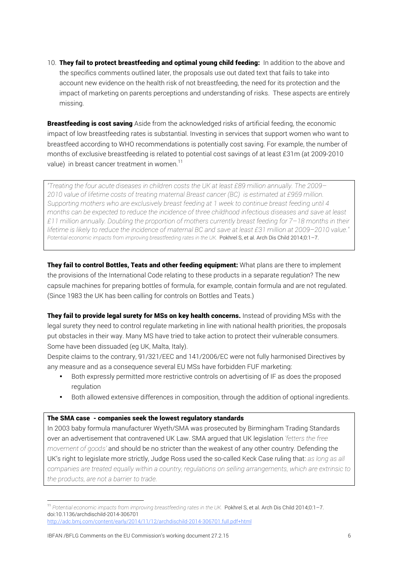10. They fail to protect breastfeeding and optimal young child feeding: In addition to the above and the specifics comments outlined later, the proposals use out dated text that fails to take into account new evidence on the health risk of not breastfeeding, the need for its protection and the impact of marketing on parents perceptions and understanding of risks. These aspects are entirely missing.

**Breastfeeding is cost saving** Aside from the acknowledged risks of artificial feeding, the economic impact of low breastfeeding rates is substantial. Investing in services that support women who want to breastfeed according to WHO recommendations is potentially cost saving. For example, the number of months of exclusive breastfeeding is related to potential cost savings of at least £31m (at 2009-2010 value) in breast cancer treatment in women.<sup>11</sup>

*"Treating the four acute diseases in children costs the UK at least £89 million annually. The 2009– 2010 value of lifetime costs of treating maternal Breast cancer (BC) is estimated at £959 million. Supporting mothers who are exclusively breast feeding at 1 week to continue breast feeding until 4 months can be expected to reduce the incidence of three childhood infectious diseases and save at least £11 million annually. Doubling the proportion of mothers currently breast feeding for 7–18 months in their lifetime is likely to reduce the incidence of maternal BC and save at least £31 million at 2009–2010 value."* Potential economic impacts from improving breastfeeding rates in the UK. Pokhrel S, et al. Arch Dis Child 2014;0:1-7.

They fail to control Bottles, Teats and other feeding equipment: What plans are there to implement the provisions of the International Code relating to these products in a separate regulation? The new capsule machines for preparing bottles of formula, for example, contain formula and are not regulated. (Since 1983 the UK has been calling for controls on Bottles and Teats.)

They fail to provide legal surety for MSs on key health concerns. Instead of providing MSs with the legal surety they need to control regulate marketing in line with national health priorities, the proposals put obstacles in their way. Many MS have tried to take action to protect their vulnerable consumers. Some have been dissuaded (eg UK, Malta, Italy).

Despite claims to the contrary, 91/321/EEC and 141/2006/EC were not fully harmonised Directives by any measure and as a consequence several EU MSs have forbidden FUF marketing:

- Both expressly permitted more restrictive controls on advertising of IF as does the proposed regulation
- Both allowed extensive differences in composition, through the addition of optional ingredients.

#### The SMA case - companies seek the lowest regulatory standards

In 2003 baby formula manufacturer Wyeth/SMA was prosecuted by Birmingham Trading Standards over an advertisement that contravened UK Law. SMA argued that UK legislation *'fetters the free movement of goods'* and should be no stricter than the weakest of any other country. Defending the UK's right to legislate more strictly, Judge Ross used the so-called Keck Case ruling that: *as long as all companies are treated equally within a country, regulations on selling arrangements, which are extrinsic to the products, are not a barrier to trade.*

<sup>&</sup>lt;sup>11</sup> Potential economic impacts from improving breastfeeding rates in the UK. Pokhrel S, et al. Arch Dis Child 2014;0:1-7. doi:10.1136/archdischild-2014-306701

http://adc.bmj.com/content/early/2014/11/12/archdischild-2014-306701.full.pdf+html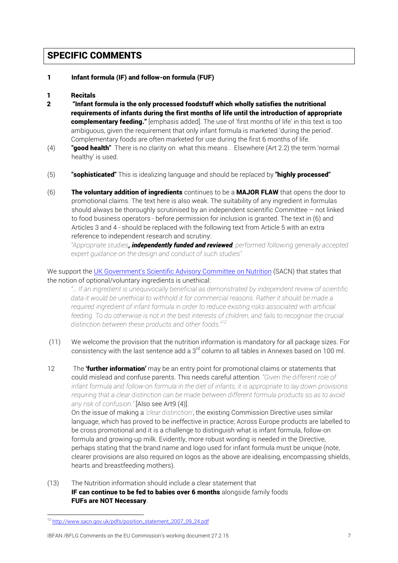## SPECIFIC COMMENTS

#### 1 Infant formula (IF) and follow-on formula (FUF)

### 1 Recitals

- 2 "Infant formula is the only processed foodstuff which wholly satisfies the nutritional requirements of infants during the first months of life until the introduction of appropriate complementary feeding." [emphasis added]. The use of 'first months of life' in this text is too ambiguous, given the requirement that only infant formula is marketed 'during the period'. Complementary foods are often marketed for use during the first 6 months of life.
- (4) **"good health"** There is no clarity on what this means . Elsewhere (Art 2.2) the term 'normal healthy' is used.
- $(5)$  "sophisticated" This is idealizing language and should be replaced by "highly processed"
- (6) The voluntary addition of ingredients continues to be a MAJOR FLAW that opens the door to promotional claims. The text here is also weak. The suitability of any ingredient in formulas should always be thoroughly scrutinised by an independent scientific Committee – not linked to food business operators - before permission for inclusion is granted. The text in (6) and Articles 3 and 4 - should be replaced with the following text from Article 5 with an extra reference to independent research and scrutiny:

*"Appropriate studies, independently funded and reviewed, performed following generally accepted expert guidance on the design and conduct of such studies"*

We support the UK Government's Scientific Advisory Committee on Nutrition (SACN) that states that the notion of optional/voluntary ingredients is unethical:

*"… If an ingredient is unequivocally beneficial as demonstrated by independent review of scientific data it would be unethical to withhold it for commercial reasons. Rather it should be made a required ingredient of infant formula in order to reduce existing risks associated with artificial feeding. To do otherwise is not in the best interests of children, and fails to recognise the crucial distinction between these products and other foods."<sup>12</sup>*

- (11) We welcome the provision that the nutrition information is mandatory for all package sizes. For consistency with the last sentence add a 3<sup>rd</sup> column to all tables in Annexes based on 100 ml.
- 12 The **'further information'** may be an entry point for promotional claims or statements that could mislead and confuse parents. This needs careful attention*. "Given the different role of infant formula and follow-on formula in the diet of infants, it is appropriate to lay down provisions requiring that a clear distinction can be made between different formula products so as to avoid any risk of confusion."* [Also see Art9 (4)].

On the issue of making a *'clear distinction'*, the existing Commission Directive uses similar language, which has proved to be ineffective in practice; Across Europe products are labelled to be cross promotional and it is a challenge to distinguish what is infant formula, follow-on formula and growing-up milk. Evidently, more robust wording is needed in the Directive, perhaps stating that the brand name and logo used for infant formula must be unique (note, clearer provisions are also required on logos as the above are idealising, encompassing shields, hearts and breastfeeding mothers).

(13) The Nutrition information should include a clear statement that IF can continue to be fed to babies over 6 months alongside family foods FUFs are NOT Necessary.

<u> 1989 - Johann Stein, marwolaethau a bh</u>

<sup>&</sup>lt;sup>12</sup> http://www.sacn.gov.uk/pdfs/position\_statement\_2007\_09\_24.pdf

IBFAN /BFLG Comments on the EU Commission's working document 27.2.15 7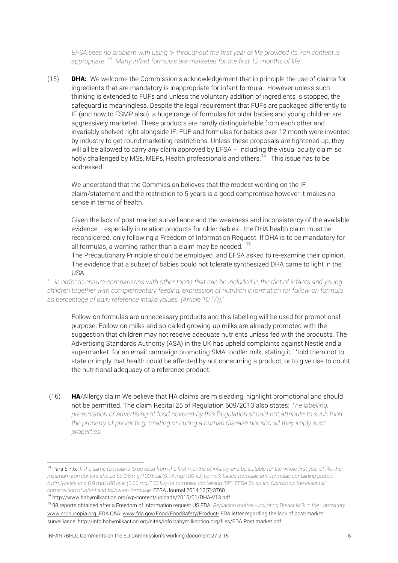*EFSA sees no problem with using IF throughout the first year of life provided its iron content is appropriate. 13 Many infant formulas are marketed for the first 12 months of life.*

 $(15)$  **DHA:** We welcome the Commission's acknowledgement that in principle the use of claims for ingredients that are mandatory is inappropriate for infant formula. However unless such thinking is extended to FUFs and unless the voluntary addition of ingredients is stopped, the safeguard is meaningless. Despite the legal requirement that FUFs are packaged differently to IF (and now to FSMP also) a huge range of formulas for older babies and young children are aggressively marketed. These products are hardly distinguishable from each other and invariably shelved right alongside IF. FUF and formulas for babies over 12 month were invented by industry to get round marketing restrictions. Unless these proposals are tightened up, they will all be allowed to carry any claim approved by EFSA – including the visual acuity claim so hotly challenged by MSs, MEPs, Health professionals and others.<sup>14</sup> This issue has to be addressed.

We understand that the Commission believes that the modest wording on the IF claim/statement and the restriction to 5 years is a good compromise however it makes no sense in terms of health.

Given the lack of post-market surveillance and the weakness and inconsistency of the available evidence - especially in relation products for older babies - the DHA health claim must be reconsidered. only following a Freedom of Information Request. If DHA is to be mandatory for all formulas, a warning rather than a claim may be needed.  $15$ 

The Precautionary Principle should be employed and EFSA asked to re-examine their opinion. The evidence that a subset of babies could not tolerate synthesized DHA came to light in the USA

*"… in order to ensure comparisons with other foods that can be included in the diet of infants and young children together with complementary feeding, expression of nutrition information for follow-on formula as percentage of daily reference intake values. (Article 10 (7))."*

Follow-on formulas are unnecessary products and this labelling will be used for promotional purpose. Follow-on milks and so-called growing-up milks are already promoted with the suggestion that children may not receive adequate nutrients unless fed with the products. The Advertising Standards Authority (ASA) in the UK has upheld complaints against Nestlé and a supermarket for an email campaign promoting SMA toddler milk, stating it, ' 'told them not to state or imply that health could be affected by not consuming a product, or to give rise to doubt the nutritional adequacy of a reference product.

(16) HA/Allergy claim We believe that HA claims are misleading, highlight promotional and should not be permitted. The claim Recital 25 of Regulation 609/2013 also states: *The labelling, presentation or advertising of food covered by this Regulation should not attribute to such food the property of preventing, treating or curing a human disease nor should they imply such properties.*

<sup>13</sup> Para 6.7.6: *If the same formula is to be used from the first months of infancy and be suitable for the whole first year of life, the minimum iron content should be 0.6 mg/100 kcal (0.14 mg/100 kJ) for milk-based formulae and formulae containing protein hydrolysates and 0.9 mg/100 kcal (0.22 mg/100 kJ) for formulae containing ISP". EFSA Scientific Opinion on the essential composition of infant and follow-on formulae.* EFSA Journal 2014;12(7):3760

<sup>14</sup> http://www.babymilkaction.org/wp-content/uploads/2015/01/DHA-V13.pdf

<sup>15</sup> 98 reports obtained after a Freedom of Information request US FDA. *Replacing mother - Imitating Breast Milk in the Laboratory.*  www.cornucopia.org FDA Q&A: www.fda.gov/Food/FoodSafety/Product- FDA letter regarding the lack of post-market surveillance: http://info.babymilkaction.org/sites/info.babymilkaction.org/files/FDA Post market.pdf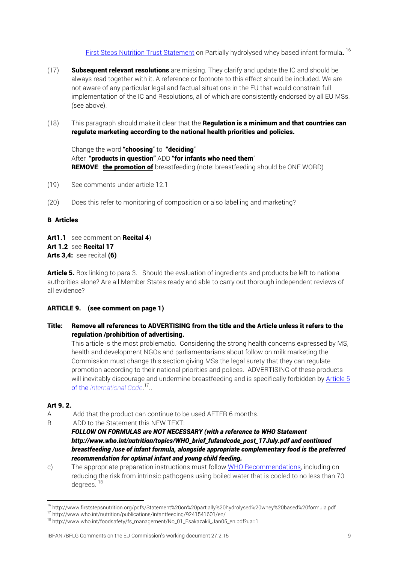First Steps Nutrition Trust Statement on Partially hydrolysed whey based infant formula.<sup>16</sup>

- $(17)$  Subsequent relevant resolutions are missing. They clarify and update the IC and should be always read together with it. A reference or footnote to this effect should be included. We are not aware of any particular legal and factual situations in the EU that would constrain full implementation of the IC and Resolutions, all of which are consistently endorsed by all EU MSs. (see above).
- $(18)$  This paragraph should make it clear that the **Regulation is a minimum and that countries can** regulate marketing according to the national health priorities and policies.

Change the word "choosing" to "deciding" After "products in question" ADD "for infants who need them" REMOVE: the promotion of breastfeeding (note: breastfeeding should be ONE WORD)

- (19) See comments under article 12.1
- (20) Does this refer to monitoring of composition or also labelling and marketing?

#### B Articles

Art1.1 see comment on Recital 4) Art 1.2 see Recital 17 Arts 3.4: see recital (6)

Article 5. Box linking to para 3. Should the evaluation of ingredients and products be left to national authorities alone? Are all Member States ready and able to carry out thorough independent reviews of all evidence?

#### ARTICLE 9. (see comment on page 1)

Title: Remove all references to ADVERTISING from the title and the Article unless it refers to the regulation /prohibition of advertising.

This article is the most problematic. Considering the strong health concerns expressed by MS, health and development NGOs and parliamentarians about follow on milk marketing the Commission must change this section giving MSs the legal surety that they can regulate promotion according to their national priorities and polices. ADVERTISING of these products will inevitably discourage and undermine breastfeeding and is specifically forbidden by Article 5 of the *International Code*. 17..

#### Art 9. 2.

- A Add that the product can continue to be used AFTER 6 months.
- B ADD to the Statement this NEW TEXT:

 

c) The appropriate preparation instructions must follow WHO Recommendations, including on reducing the risk from intrinsic pathogens using boiled water that is cooled to no less than 70 degrees.<sup>18</sup>

#### IBFAN /BFLG Comments on the EU Commission's working document 27.2.15 9

*FOLLOW ON FORMULAS are NOT NECESSARY (with a reference to WHO Statement http://www.who.int/nutrition/topics/WHO\_brief\_fufandcode\_post\_17July.pdf and continued breastfeeding /use of infant formula, alongside appropriate complementary food is the preferred recommendation for optimal infant and young child feeding.* 

<sup>16</sup> http://www.firststepsnutrition.org/pdfs/Statement%20on%20partially%20hydrolysed%20whey%20based%20formula.pdf

<sup>&</sup>lt;sup>17</sup> http://www.who.int/nutrition/publications/infantfeeding/9241541601/en/

<sup>&</sup>lt;sup>18</sup> http://www.who.int/foodsafety/fs\_management/No\_01\_Esakazakii\_Jan05\_en.pdf?ua=1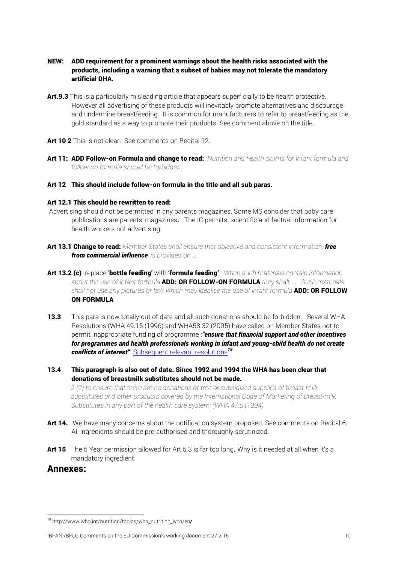- NEW: ADD requirement for a prominent warnings about the health risks associated with the products, including a warning that a subset of babies may not tolerate the mandatory artificial DHA.
- Art.9.3 This is a particularly misleading article that appears superficially to be health protective. However all advertising of these products will inevitably promote alternatives and discourage and undermine breastfeeding. It is common for manufacturers to refer to breastfeeding as the gold standard as a way to promote their products. See comment above on the title.
- Art 10 2 This is not clear. See comments on Recital 12.
- Art 11: ADD Follow-on Formula and change to read: *Nutrition and health claims for infant formula and follow-on formula should be forbidden.*

#### Art 12 This should include follow-on formula in the title and all sub paras.

### Art 12.1 This should be rewritten to read:

- Advertising should not be permitted in any parents magazines. Some MS consider that baby care publications are parents' magazines. The IC permits scientific and factual information for health workers not advertising.
- Art 13.1 Change to read: *Member States shall ensure that objective and consistent information, free from commercial influence, is provided on ...*
- Art 13.2 (c) replace 'bottle feeding' with 'formula feeding' *When such materials contain information about the use of infant formula* ADD: OR FOLLOW-ON FORMULA *they shall..... Such materials*  shall not use any pictures or text which may idealise the use of infant formula **ADD: OR FOLLOW** ON FORMULA
- **13.3** This para is now totally out of date and all such donations should be forbidden. Several WHA Resolutions (WHA 49.15 (1996) and WHA58.32 (2005) have called on Member States not to permit inappropriate funding of programme :*"ensure that financial support and other incentives for programmes and health professionals working in infant and young-child health do not create conflicts of interest"* Subsequent relevant resolutions*<sup>19</sup>*
- 13.4 This paragraph is also out of date. Since 1992 and 1994 the WHA has been clear that donations of breastmilk substitutes should not be made.

*2 (2) to ensure that there are no donations of free or subsidized supplies of breast-milk substitutes and other products covered by the International Code of Marketing of Breast-milk Substitutes in any part of the health care system; (WHA 47.5 (1994)*

- Art 14. We have many concerns about the notification system proposed. See comments on Recital 6. All ingredients should be pre-authorised and thoroughly scrutinized.
- Art 15 The 5 Year permission allowed for Art 5.3 is far too long. Why is it needed at all when it's a mandatory ingredient

## Annexes:

<u> 1989 - Johann Stein, marwolaethau a bh</u>

<sup>19</sup> http://www.who.int/nutrition/topics/wha\_nutrition\_iycn/en*/*

IBFAN /BFLG Comments on the EU Commission's working document 27.2.15 10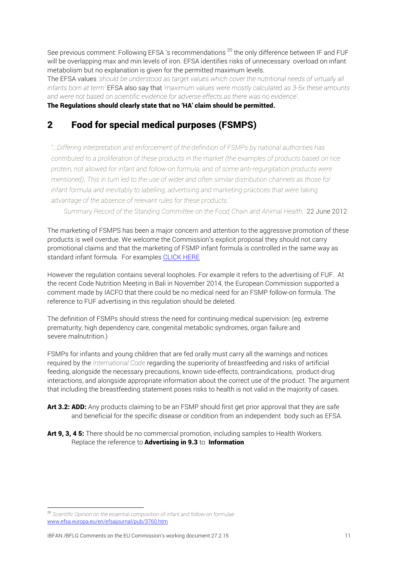See previous comment: Following EFSA 's recommendations<sup>20</sup> the only difference between IF and FUF will be overlapping max and min levels of iron. EFSA identifies risks of unnecessary overload on infant metabolism but no explanation is given for the permitted maximum levels.

The EFSA values *'should be understood as target values which cover the nutritional needs of virtually all infants born at term'* EFSA also say that *'maximum values were mostly calculated as 3-5x these amounts and were not based on scientific evidence for adverse effects as there was no evidence'.*

### The Regulations should clearly state that no 'HA' claim should be permitted.

## 2 Food for special medical purposes (FSMPS)

*"...Differing interpretation and enforcement of the definition of FSMPs by national authorities has contributed to a proliferation of these products in the market (the examples of products based on rice protein, not allowed for infant and follow-on formula, and of some anti-regurgitation products were mentioned). This in turn led to the use of wider and often similar distribution channels as those for*  infant formula and inevitably to labelling, advertising and marketing practices that were taking *advantage of the absence of relevant rules for these products.'*

*Summary Record of the Standing Committee on the Food Chain and Animal Health,* 22 June 2012

The marketing of FSMPS has been a major concern and attention to the aggressive promotion of these products is well overdue. We welcome the Commission's explicit proposal they should not carry promotional claims and that the marketing of FSMP infant formula is controlled in the same way as standard infant formula. For examples CLICK HERE

However the regulation contains several loopholes. For example it refers to the advertising of FUF. At the recent Code Nutrition Meeting in Bali in November 2014, the European Commission supported a comment made by IACFO that there could be no medical need for an FSMP follow-on formula. The reference to FUF advertising in this regulation should be deleted.

The definition of FSMPs should stress the need for continuing medical supervision: (eg. extreme prematurity, high dependency care, congenital metabolic syndromes, organ failure and severe malnutrition.)

FSMPs for infants and young children that are fed orally must carry all the warnings and notices required by the *International Code* regarding the superiority of breastfeeding and risks of artificial feeding, alongside the necessary precautions, known side-effects, contraindications, product-drug interactions, and alongside appropriate information about the correct use of the product. The argument that including the breastfeeding statement poses risks to health is not valid in the majority of cases.

- Art 3.2: ADD: Any products claiming to be an FSMP should first get prior approval that they are safe and beneficial for the specific disease or condition from an independent body such as EFSA.
- Art 9, 3, 4 5: There should be no commercial promotion, including samples to Health Workers. Replace the reference to **Advertising in 9.3** to Information

 <sup>20</sup> *Scientific Opinion on the essential composition of infant and follow-on formulae* www.efsa.europa.eu/en/efsajournal/pub/3760.htm

IBFAN /BFLG Comments on the EU Commission's working document 27.2.15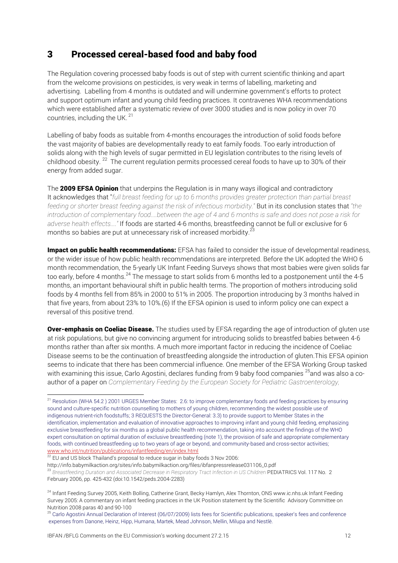## 3 Processed cereal-based food and baby food

The Regulation covering processed baby foods is out of step with current scientific thinking and apart from the welcome provisions on pesticides, is very weak in terms of labelling, marketing and advertising. Labelling from 4 months is outdated and will undermine government's efforts to protect and support optimum infant and young child feeding practices. It contravenes WHA recommendations which were established after a systematic review of over 3000 studies and is now policy in over 70 countries, including the UK. <sup>21</sup>

Labelling of baby foods as suitable from 4-months encourages the introduction of solid foods before the vast majority of babies are developmentally ready to eat family foods. Too early introduction of solids along with the high levels of sugar permitted in EU legislation contributes to the rising levels of childhood obesity. 22 The current regulation permits processed cereal foods to have up to 30% of their energy from added sugar.

The 2009 EFSA Opinion that underpins the Regulation is in many ways illogical and contradictory It acknowledges that "*full breast feeding for up to 6 months provides greater protection than partial breast feeding or shorter breast feeding against the risk of infectious morbidity."* But in its conclusion states that *"the introduction of complementary food....between the age of 4 and 6 months is safe and does not pose a risk for adverse health effects...."* If foods are started 4-6 months, breastfeeding cannot be full or exclusive for 6 months so babies are put at unnecessary risk of increased morbidity. $^{23}$ 

Impact on public health recommendations: EFSA has failed to consider the issue of developmental readiness, or the wider issue of how public health recommendations are interpreted. Before the UK adopted the WHO 6 month recommendation, the 5-yearly UK Infant Feeding Surveys shows that most babies were given solids far too early, before 4 months.<sup>24</sup> The message to start solids from 6 months led to a postponement until the 4-5 months, an important behavioural shift in public health terms. The proportion of mothers introducing solid foods by 4 months fell from 85% in 2000 to 51% in 2005. The proportion introducing by 3 months halved in that five years, from about 23% to 10%.(6) If the EFSA opinion is used to inform policy one can expect a reversal of this positive trend.

**Over-emphasis on Coeliac Disease.** The studies used by EFSA regarding the age of introduction of gluten use at risk populations, but give no convincing argument for introducing solids to breastfed babies between 4-6 months rather than after six months. A much more important factor in reducing the incidence of Coeliac Disease seems to be the continuation of breastfeeding alongside the introduction of gluten.This EFSA opinion seems to indicate that there has been commercial influence. One member of the EFSA Working Group tasked with examining this issue, Carlo Agostini, declares funding from 9 baby food companies <sup>25</sup>and was also a coauthor of a paper on *Complementary Feeding by the European Society for Pediatric Gastroenterology,* 

<sup>&</sup>lt;sup>21</sup> Resolution (WHA 54.2) 2001 URGES Member States: 2.6: to improve complementary foods and feeding practices by ensuring sound and culture-specific nutrition counselling to mothers of young children, recommending the widest possible use of indigenous nutrient-rich foodstuffs; 3 REQUESTS the Director-General: 3.3) to provide support to Member States in the identification, implementation and evaluation of innovative approaches to improving infant and young child feeding, emphasizing exclusive breastfeeding for six months as a global public health recommendation, taking into account the findings of the WHO expert consultation on optimal duration of exclusive breastfeeding (note 1), the provision of safe and appropriate complementary foods, with continued breastfeeding up to two years of age or beyond, and community-based and cross-sector activities; www.who.int/nutrition/publications/infantfeeding/en/index.html

<sup>22</sup> EU and US block Thailand's proposal to reduce sugar in baby foods 3 Nov 2006:

http://info.babymilkaction.org/sites/info.babymilkaction.org/files/ibfanpressrelease031106\_0.pdf

<sup>23</sup> *Breastfeeding Duration and Associated Decrease in Respiratory Tract Infection in US Children* PEDIATRICS Vol. 117 No. 2 February 2006, pp. 425-432 (doi:10.1542/peds.2004-2283)

<sup>&</sup>lt;sup>24</sup> Infant Feeding Survey 2005, Keith Bolling, Catherine Grant, Becky Hamlyn, Alex Thornton, ONS www.ic.nhs.uk Infant Feeding Survey 2005: A commentary on infant feeding practices in the UK Position statement by the Scientific Advisory Committee on Nutrition 2008 paras 40 and 90-100

 $25$  Carlo Agostini Annual Declaration of Interest (06/07/2009) lists fees for Scientific publications, speaker's fees and conference expenses from Danone, Heinz, Hipp, Humana, Martek, Mead Johnson, Mellin, Milupa and Nestlè.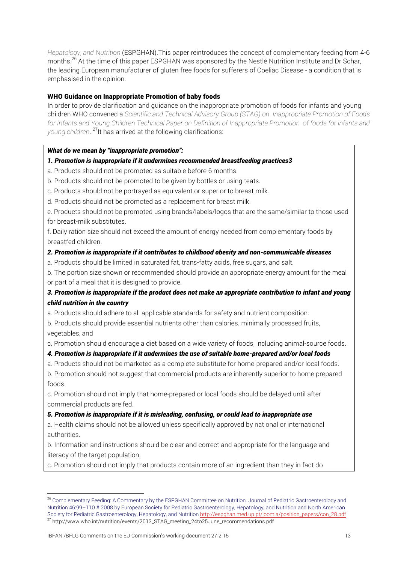*Hepatology, and Nutrition* (ESPGHAN).This paper reintroduces the concept of complementary feeding from 4-6 months.<sup>26</sup> At the time of this paper ESPGHAN was sponsored by the Nestlé Nutrition Institute and Dr Schar, the leading European manufacturer of gluten free foods for sufferers of Coeliac Disease - a condition that is emphasised in the opinion.

### WHO Guidance on Inappropriate Promotion of baby foods

In order to provide clarification and guidance on the inappropriate promotion of foods for infants and young children WHO convened a *Scientific and Technical Advisory Group (STAG) on Inappropriate Promotion of Foods for Infants and Young Children Technical Paper on Definition of Inappropriate Promotion of foods for infants and young children*. 27It has arrived at the following clarifications:

### *What do we mean by "inappropriate promotion":*

### *1. Promotion is inappropriate if it undermines recommended breastfeeding practices3*

- a. Products should not be promoted as suitable before 6 months.
- b. Products should not be promoted to be given by bottles or using teats.
- c. Products should not be portrayed as equivalent or superior to breast milk.
- d. Products should not be promoted as a replacement for breast milk.

e. Products should not be promoted using brands/labels/logos that are the same/similar to those used for breast-milk substitutes.

f. Daily ration size should not exceed the amount of energy needed from complementary foods by breastfed children.

#### *2. Promotion is inappropriate if it contributes to childhood obesity and non-communicable diseases*

a. Products should be limited in saturated fat, trans-fatty acids, free sugars, and salt.

b. The portion size shown or recommended should provide an appropriate energy amount for the meal or part of a meal that it is designed to provide.

## *3. Promotion is inappropriate if the product does not make an appropriate contribution to infant and young child nutrition in the country*

a. Products should adhere to all applicable standards for safety and nutrient composition.

b. Products should provide essential nutrients other than calories. minimally processed fruits, vegetables, and

c. Promotion should encourage a diet based on a wide variety of foods, including animal-source foods.

### *4. Promotion is inappropriate if it undermines the use of suitable home-prepared and/or local foods*

a. Products should not be marketed as a complete substitute for home-prepared and/or local foods.

b. Promotion should not suggest that commercial products are inherently superior to home prepared foods.

c. Promotion should not imply that home-prepared or local foods should be delayed until after commercial products are fed.

### *5. Promotion is inappropriate if it is misleading, confusing, or could lead to inappropriate use*

a. Health claims should not be allowed unless specifically approved by national or international authorities.

b. Information and instructions should be clear and correct and appropriate for the language and literacy of the target population.

c. Promotion should not imply that products contain more of an ingredient than they in fact do

<sup>&</sup>lt;sup>26</sup> Complementary Feeding: A Commentary by the ESPGHAN Committee on Nutrition. Journal of Pediatric Gastroenterology and Nutrition 46:99–110 # 2008 by European Society for Pediatric Gastroenterology, Hepatology, and Nutrition and North American Society for Pediatric Gastroenterology, Hepatology, and Nutrition http://espghan.med.up.pt/joomla/position\_papers/con\_28.pdf <sup>27</sup> http://www.who.int/nutrition/events/2013\_STAG\_meeting\_24to25June\_recommendations.pdf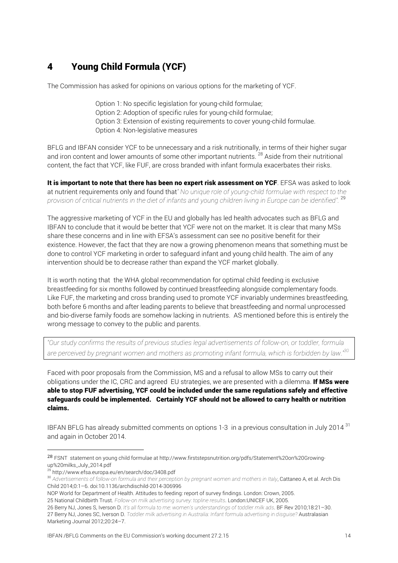## 4 Young Child Formula (YCF)

The Commission has asked for opinions on various options for the marketing of YCF.

Option 1: No specific legislation for young-child formulae; Option 2: Adoption of specific rules for young-child formulae; Option 3: Extension of existing requirements to cover young-child formulae. Option 4: Non-legislative measures

BFLG and IBFAN consider YCF to be unnecessary and a risk nutritionally, in terms of their higher sugar and iron content and lower amounts of some other important nutrients. <sup>28</sup> Aside from their nutritional content, the fact that YCF, like FUF, are cross branded with infant formula exacerbates their risks.

It is important to note that there has been no expert risk assessment on YCF. EFSA was asked to look at nutrient requirements only and found that*" No unique role of young-child formulae with respect to the provision of critical nutrients in the diet of infants and young children living in Europe can be identified".* <sup>29</sup>

The aggressive marketing of YCF in the EU and globally has led health advocates such as BFLG and IBFAN to conclude that it would be better that YCF were not on the market. It is clear that many MSs share these concerns and in line with EFSA's assessment can see no positive benefit for their existence. However, the fact that they are now a growing phenomenon means that something must be done to control YCF marketing in order to safeguard infant and young child health. The aim of any intervention should be to decrease rather than expand the YCF market globally.

It is worth noting that the WHA global recommendation for optimal child feeding is exclusive breastfeeding for six months followed by continued breastfeeding alongside complementary foods. Like FUF, the marketing and cross branding used to promote YCF invariably undermines breastfeeding, both before 6 months and after leading parents to believe that breastfeeding and normal unprocessed and bio-diverse family foods are somehow lacking in nutrients. AS mentioned before this is entirely the wrong message to convey to the public and parents.

*"Our study confirms the results of previous studies legal advertisements of follow-on, or toddler, formula are perceived by pregnant women and mothers as promoting infant formula, which is forbidden by law."30*

Faced with poor proposals from the Commission, MS and a refusal to allow MSs to carry out their obligations under the IC, CRC and agreed EU strategies, we are presented with a dilemma. If MSs were able to stop FUF advertising, YCF could be included under the same regulations safely and effective safeguards could be implemented. Certainly YCF should not be allowed to carry health or nutrition claims.

IBFAN BFLG has already submitted comments on options 1-3 in a previous consultation in July 2014<sup>31</sup> and again in October 2014.

 

NOP World for Department of Health. Attitudes to feeding: report of survey findings. London: Crown, 2005. 25 National Childbirth Trust. *Follow-on milk advertising survey: topline results*. London:UNICEF UK, 2005.

<sup>28</sup> FSNT statement on young child formulae at http://www.firststepsnutrition.org/pdfs/Statement%20on%20Growingup%20milks\_July\_2014.pdf

<sup>29</sup> http://www.efsa.europa.eu/en/search/doc/3408.pdf

<sup>30</sup> Advertisements of follow-on formula and their perception by pregnant women and mothers in Italy, Cattaneo A, et al. Arch Dis Child 2014;0:1–6. doi:10.1136/archdischild-2014-306996

<sup>26</sup> Berry NJ, Jones S, Iverson D. *It's all formula to me: women's understandings of toddler milk ads*. BF Rev 2010;18:21–30. 27 Berry NJ, Jones SC, Iverson D. *Toddler milk advertising in Australia: Infant formula advertising in disguise?* Australasian Marketing Journal 2012;20:24–7.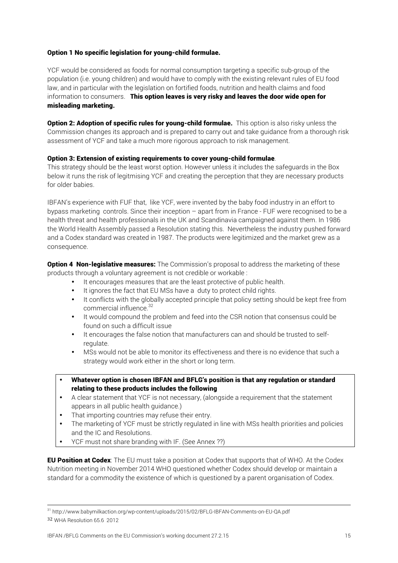### Option 1 No specific legislation for young-child formulae.

YCF would be considered as foods for normal consumption targeting a specific sub-group of the population (i.e. young children) and would have to comply with the existing relevant rules of EU food law, and in particular with the legislation on fortified foods, nutrition and health claims and food information to consumers. This option leaves is very risky and leaves the door wide open for misleading marketing.

**Option 2: Adoption of specific rules for young-child formulae.** This option is also risky unless the Commission changes its approach and is prepared to carry out and take guidance from a thorough risk assessment of YCF and take a much more rigorous approach to risk management.

### Option 3: Extension of existing requirements to cover young-child formulae.

This strategy should be the least worst option. However unless it includes the safeguards in the Box below it runs the risk of legitmising YCF and creating the perception that they are necessary products for older babies.

IBFAN's experience with FUF that, like YCF, were invented by the baby food industry in an effort to bypass marketing controls. Since their inception – apart from in France - FUF were recognised to be a health threat and health professionals in the UK and Scandinavia campaigned against them. In 1986 the World Health Assembly passed a Resolution stating this. Nevertheless the industry pushed forward and a Codex standard was created in 1987. The products were legitimized and the market grew as a consequence.

**Option 4 Non-legislative measures:** The Commission's proposal to address the marketing of these products through a voluntary agreement is not credible or workable :

- It encourages measures that are the least protective of public health.
- It ignores the fact that EU MSs have a duty to protect child rights.
- It conflicts with the globally accepted principle that policy setting should be kept free from commercial influence.<sup>32</sup>
- It would compound the problem and feed into the CSR notion that consensus could be found on such a difficult issue
- It encourages the false notion that manufacturers can and should be trusted to selfregulate.
- MSs would not be able to monitor its effectiveness and there is no evidence that such a strategy would work either in the short or long term.
- Whatever option is chosen IBFAN and BFLG's position is that any regulation or standard relating to these products includes the following
- A clear statement that YCF is not necessary, (alongside a requirement that the statement appears in all public health guidance.)
- That importing countries may refuse their entry.
- The marketing of YCF must be strictly regulated in line with MSs health priorities and policies and the IC and Resolutions.
- YCF must not share branding with IF. (See Annex ??)

**EU Position at Codex**: The EU must take a position at Codex that supports that of WHO. At the Codex Nutrition meeting in November 2014 WHO questioned whether Codex should develop or maintain a standard for a commodity the existence of which is questioned by a parent organisation of Codex.

<u> 1989 - Jan Samuel Barbara, margaret eta idazlearen 1980an eta idazlea (h. 1989).</u>

<sup>31</sup> http://www.babymilkaction.org/wp-content/uploads/2015/02/BFLG-IBFAN-Comments-on-EU-QA.pdf

<sup>32</sup> WHA Resolution 65.6 2012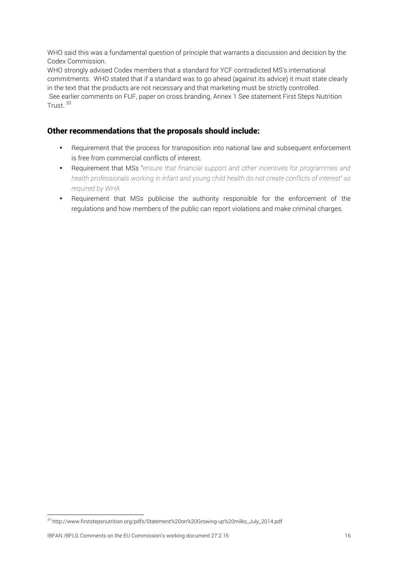WHO said this was a fundamental question of principle that warrants a discussion and decision by the Codex Commission.

WHO strongly advised Codex members that a standard for YCF contradicted MS's international commitments. WHO stated that if a standard was to go ahead (against its advice) it must state clearly in the text that the products are not necessary and that marketing must be strictly controlled. See earlier comments on FUF, paper on cross branding, Annex 1 See statement First Steps Nutrition Trust. 33

## Other recommendations that the proposals should include:

- Requirement that the process for transposition into national law and subsequent enforcement is free from commercial conflicts of interest.
- Requirement that MSs "*ensure that financial support and other incentives for programmes and health professionals working in infant and young child health do not create conflicts of interest" as required by WHA*
- Requirement that MSs publicise the authority responsible for the enforcement of the regulations and how members of the public can report violations and make criminal charges.

<u> 1989 - Johann Stein, marwolaethau a bh</u>

<sup>33</sup> http://www.firststepsnutrition.org/pdfs/Statement%20on%20Growing-up%20milks\_July\_2014.pdf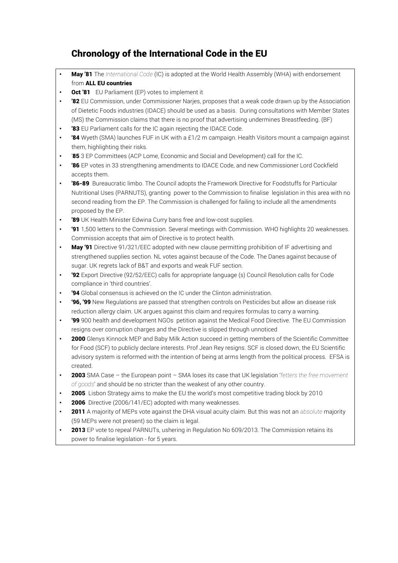## Chronology of the International Code in the EU

- May '81 The *International Code* (IC) is adopted at the World Health Assembly (WHA) with endorsement from ALL EU countries
- **Oct '81** EU Parliament (EP) votes to implement it
- **'82** EU Commission, under Commissioner Narjes, proposes that a weak code drawn up by the Association of Dietetic Foods industries (IDACE) should be used as a basis. During consultations with Member States (MS) the Commission claims that there is no proof that advertising undermines Breastfeeding. (BF)
- '83 EU Parliament calls for the IC again rejecting the IDACE Code.
- '84 Wyeth (SMA) launches FUF in UK with a £1/2 m campaign. Health Visitors mount a campaign against them, highlighting their risks.
- '85 3 EP Committees (ACP Lome, Economic and Social and Development) call for the IC.
- '86 EP votes in 33 strengthening amendments to IDACE Code, and new Commissioner Lord Cockfield accepts them.
- '86-89 Bureaucratic limbo. The Council adopts the Framework Directive for Foodstuffs for Particular Nutritional Uses (PARNUTS), granting power to the Commission to finalise legislation in this area with no second reading from the EP. The Commission is challenged for failing to include all the amendments proposed by the EP.
- '89 UK Health Minister Edwina Curry bans free and low-cost supplies.
- '91 1,500 letters to the Commission. Several meetings with Commission. WHO highlights 20 weaknesses. Commission accepts that aim of Directive is to protect health.
- May '91 Directive 91/321/EEC adopted with new clause permitting prohibition of IF advertising and strengthened supplies section. NL votes against because of the Code. The Danes against because of sugar. UK regrets lack of B&T and exports and weak FUF section.
- '92 Export Directive (92/52/EEC) calls for appropriate language (s) Council Resolution calls for Code compliance in 'third countries'.
- '94 Global consensus is achieved on the IC under the Clinton administration.
- '96, '99 New Regulations are passed that strengthen controls on Pesticides but allow an disease risk reduction allergy claim. UK argues against this claim and requires formulas to carry a warning.
- '99 900 health and development NGOs petition against the Medical Food Directive. The EU Commission resigns over corruption charges and the Directive is slipped through unnoticed
- 2000 Glenys Kinnock MEP and Baby Milk Action succeed in getting members of the Scientific Committee for Food (SCF) to publicly declare interests. Prof Jean Rey resigns. SCF is closed down, the EU Scientific advisory system is reformed with the intention of being at arms length from the political process. EFSA is created.
- 2003 SMA Case the European point SMA loses its case that UK legislation '*fetters the free movement of goods*' and should be no stricter than the weakest of any other country.
- **2005** Lisbon Strategy aims to make the EU the world's most competitive trading block by 2010
- 2006 Directive (2006/141/EC) adopted with many weaknesses.
- 2011 A majority of MEPs vote against the DHA visual acuity claim. But this was not an *absolute* majority (59 MEPs were not present) so the claim is legal.
- 2013 EP vote to repeal PARNUTs, ushering in Regulation No 609/2013. The Commission retains its power to finalise legislation - for 5 years.